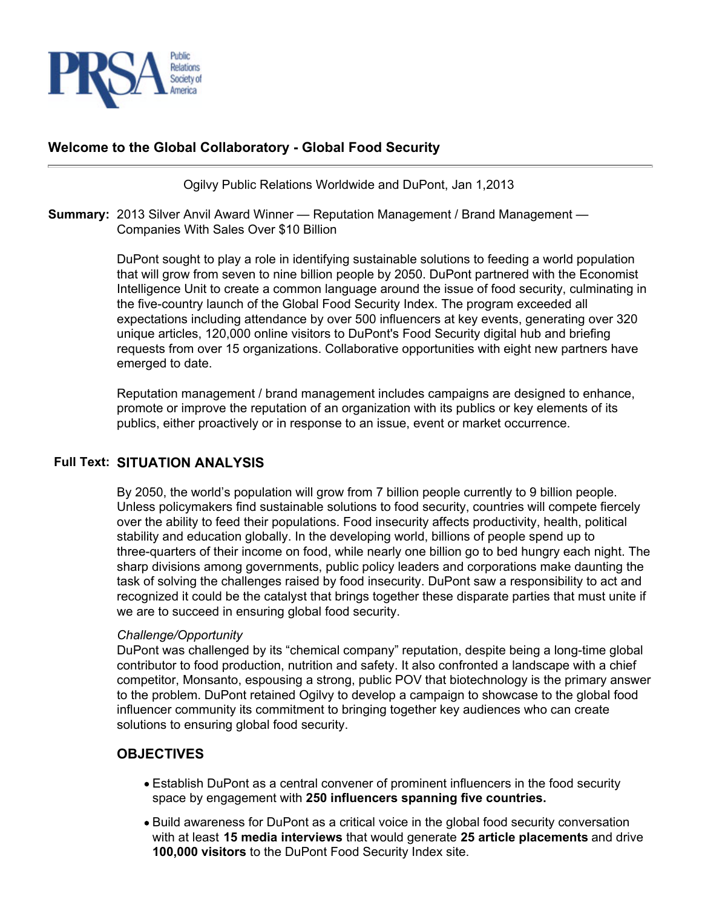

## **Welcome to the Global Collaboratory - Global Food Security**

Ogilvy Public Relations Worldwide and DuPont, Jan 1,2013

**Summary:** 2013 Silver Anvil Award Winner — Reputation Management / Brand Management — Companies With Sales Over \$10 Billion

> DuPont sought to play a role in identifying sustainable solutions to feeding a world population that will grow from seven to nine billion people by 2050. DuPont partnered with the Economist Intelligence Unit to create a common language around the issue of food security, culminating in the five-country launch of the Global Food Security Index. The program exceeded all expectations including attendance by over 500 influencers at key events, generating over 320 unique articles, 120,000 online visitors to DuPont's Food Security digital hub and briefing requests from over 15 organizations. Collaborative opportunities with eight new partners have emerged to date.

Reputation management / brand management includes campaigns are designed to enhance, promote or improve the reputation of an organization with its publics or key elements of its publics, either proactively or in response to an issue, event or market occurrence.

### **Full Text: SITUATION ANALYSIS**

By 2050, the world's population will grow from 7 billion people currently to 9 billion people. Unless policymakers find sustainable solutions to food security, countries will compete fiercely over the ability to feed their populations. Food insecurity affects productivity, health, political stability and education globally. In the developing world, billions of people spend up to three-quarters of their income on food, while nearly one billion go to bed hungry each night. The sharp divisions among governments, public policy leaders and corporations make daunting the task of solving the challenges raised by food insecurity. DuPont saw a responsibility to act and recognized it could be the catalyst that brings together these disparate parties that must unite if we are to succeed in ensuring global food security.

#### *Challenge/Opportunity*

DuPont was challenged by its "chemical company" reputation, despite being a long-time global contributor to food production, nutrition and safety. It also confronted a landscape with a chief competitor, Monsanto, espousing a strong, public POV that biotechnology is the primary answer to the problem. DuPont retained Ogilvy to develop a campaign to showcase to the global food influencer community its commitment to bringing together key audiences who can create solutions to ensuring global food security.

### **OBJECTIVES**

- Establish DuPont as a central convener of prominent influencers in the food security space by engagement with **250 influencers spanning five countries.**
- Build awareness for DuPont as a critical voice in the global food security conversation with at least **15 media interviews** that would generate **25 article placements** and drive **100,000 visitors** to the DuPont Food Security Index site.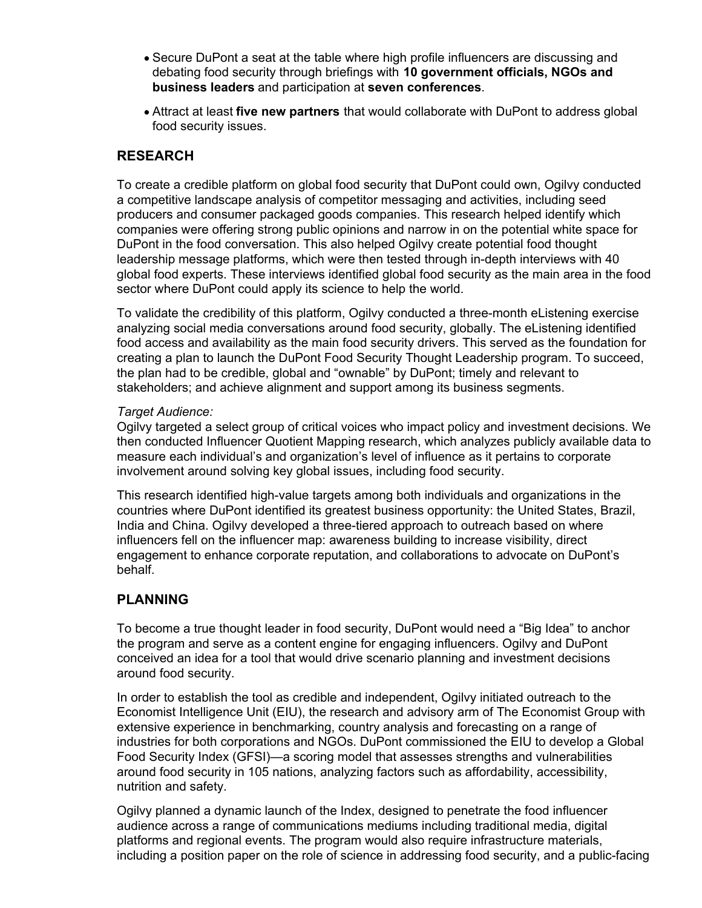- Secure DuPont a seat at the table where high profile influencers are discussing and debating food security through briefings with **10 government officials, NGOs and business leaders** and participation at **seven conferences**.
- Attract at least **five new partners** that would collaborate with DuPont to address global food security issues.

## **RESEARCH**

To create a credible platform on global food security that DuPont could own, Ogilvy conducted a competitive landscape analysis of competitor messaging and activities, including seed producers and consumer packaged goods companies. This research helped identify which companies were offering strong public opinions and narrow in on the potential white space for DuPont in the food conversation. This also helped Ogilvy create potential food thought leadership message platforms, which were then tested through in-depth interviews with 40 global food experts. These interviews identified global food security as the main area in the food sector where DuPont could apply its science to help the world.

To validate the credibility of this platform, Ogilvy conducted a three-month eListening exercise analyzing social media conversations around food security, globally. The eListening identified food access and availability as the main food security drivers. This served as the foundation for creating a plan to launch the DuPont Food Security Thought Leadership program. To succeed, the plan had to be credible, global and "ownable" by DuPont; timely and relevant to stakeholders; and achieve alignment and support among its business segments.

### *Target Audience:*

Ogilvy targeted a select group of critical voices who impact policy and investment decisions. We then conducted Influencer Quotient Mapping research, which analyzes publicly available data to measure each individual's and organization's level of influence as it pertains to corporate involvement around solving key global issues, including food security.

This research identified high-value targets among both individuals and organizations in the countries where DuPont identified its greatest business opportunity: the United States, Brazil, India and China. Ogilvy developed a three-tiered approach to outreach based on where influencers fell on the influencer map: awareness building to increase visibility, direct engagement to enhance corporate reputation, and collaborations to advocate on DuPont's behalf.

## **PLANNING**

To become a true thought leader in food security, DuPont would need a "Big Idea" to anchor the program and serve as a content engine for engaging influencers. Ogilvy and DuPont conceived an idea for a tool that would drive scenario planning and investment decisions around food security.

In order to establish the tool as credible and independent, Ogilvy initiated outreach to the Economist Intelligence Unit (EIU), the research and advisory arm of The Economist Group with extensive experience in benchmarking, country analysis and forecasting on a range of industries for both corporations and NGOs. DuPont commissioned the EIU to develop a Global Food Security Index (GFSI)—a scoring model that assesses strengths and vulnerabilities around food security in 105 nations, analyzing factors such as affordability, accessibility, nutrition and safety.

Ogilvy planned a dynamic launch of the Index, designed to penetrate the food influencer audience across a range of communications mediums including traditional media, digital platforms and regional events. The program would also require infrastructure materials, including a position paper on the role of science in addressing food security, and a public-facing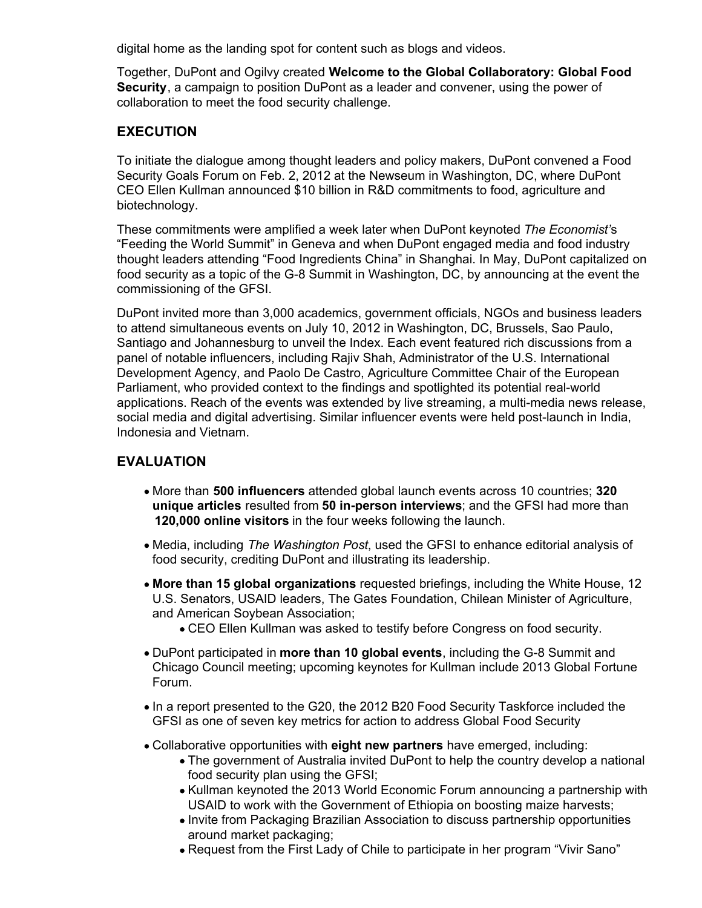digital home as the landing spot for content such as blogs and videos.

Together, DuPont and Ogilvy created **Welcome to the Global Collaboratory: Global Food Security**, a campaign to position DuPont as a leader and convener, using the power of collaboration to meet the food security challenge.

## **EXECUTION**

To initiate the dialogue among thought leaders and policy makers, DuPont convened a Food Security Goals Forum on Feb. 2, 2012 at the Newseum in Washington, DC, where DuPont CEO Ellen Kullman announced \$10 billion in R&D commitments to food, agriculture and biotechnology.

These commitments were amplified a week later when DuPont keynoted *The Economist'*s "Feeding the World Summit" in Geneva and when DuPont engaged media and food industry thought leaders attending "Food Ingredients China" in Shanghai. In May, DuPont capitalized on food security as a topic of the G-8 Summit in Washington, DC, by announcing at the event the commissioning of the GFSI.

DuPont invited more than 3,000 academics, government officials, NGOs and business leaders to attend simultaneous events on July 10, 2012 in Washington, DC, Brussels, Sao Paulo, Santiago and Johannesburg to unveil the Index. Each event featured rich discussions from a panel of notable influencers, including Rajiv Shah, Administrator of the U.S. International Development Agency, and Paolo De Castro, Agriculture Committee Chair of the European Parliament, who provided context to the findings and spotlighted its potential real-world applications. Reach of the events was extended by live streaming, a multi-media news release, social media and digital advertising. Similar influencer events were held post-launch in India, Indonesia and Vietnam.

# **EVALUATION**

- More than **500 influencers** attended global launch events across 10 countries; **320 unique articles** resulted from **50 in-person interviews**; and the GFSI had more than **120,000 online visitors** in the four weeks following the launch.
- Media, including *The Washington Post*, used the GFSI to enhance editorial analysis of food security, crediting DuPont and illustrating its leadership.
- **More than 15 global organizations** requested briefings, including the White House, 12 U.S. Senators, USAID leaders, The Gates Foundation, Chilean Minister of Agriculture, and American Soybean Association;
	- CEO Ellen Kullman was asked to testify before Congress on food security.
- DuPont participated in **more than 10 global events**, including the G-8 Summit and Chicago Council meeting; upcoming keynotes for Kullman include 2013 Global Fortune Forum.
- In a report presented to the G20, the 2012 B20 Food Security Taskforce included the GFSI as one of seven key metrics for action to address Global Food Security
- Collaborative opportunities with **eight new partners** have emerged, including:
	- The government of Australia invited DuPont to help the country develop a national food security plan using the GFSI;
	- Kullman keynoted the 2013 World Economic Forum announcing a partnership with USAID to work with the Government of Ethiopia on boosting maize harvests;
	- Invite from Packaging Brazilian Association to discuss partnership opportunities around market packaging;
	- Request from the First Lady of Chile to participate in her program "Vivir Sano"